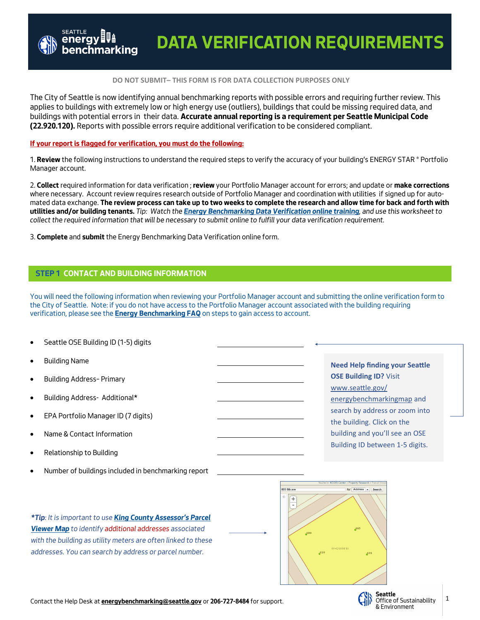### **DO NOT SUBMIT– THIS FORM IS FOR DATA COLLECTION PURPOSES ONLY**

*The City of Seattle is now identifying annual benchmarking reports with possible errors and requiring further review. This*  applies to buildings with extremely low or high energy use (outliers), buildings that could be missing required data, and *buildings with potential errors in their data.* **Accurate annual reporting is a requirement per Seattle Municipal Code (22.920.120).** *Reports with possible errors require additional verification to be considered compliant.* 

## **If your report is flagged for verification, you must do the following:**

*1.* **Review** *the following instructions to understand the required steps to verify the accuracy of your building's ENERGY STAR ® Portfolio Manager account.* 

*2.* **Collect** *required information for data verification ;* **review** *your Portfolio Manager account for errors; and update or* **make corrections**  where necessary. Account review requires research outside of Portfolio Manager and coordination with utilities if signed up for auto*mated data exchange.* **The review process can take up to two weeks to complete the research and allow time for back and forth with utilities and/or building tenants.** *Tip: Watch the [Energy Benchmarking Data Verification online training](https://www.youtube.com/watch?v=3c9rZDhWwPY&feature=youtu.be), and use this worksheet to collect the required information that will be necessary to submit online to fulfill your data verification requirement.* 

*3.* **Complete** *and* **submit** *the Energy Benchmarking Data Verification online form.* 

# **STEP 1 CONTACT AND BUILDING INFORMATION**

*You will need the following information when reviewing your Portfolio Manager account and submitting the online verification form to the City of Seattle. Note: if you do not have access to the Portfolio Manager account associated with the building requiring verification, please see the* **[Energy Benchmarking FAQ](http://www.seattle.gov/Documents/Departments/OSE/Benchmark/EB_FAQ_2019.pdf)** *on steps to gain access to account.* 

- *Seattle OSE Building ID (1-5) digits*
- *Building Name*
- *Building Address– Primary*
- *Building Address- Additional\**
- *EPA Portfolio Manager ID (7 digits)*
- *Name & Contact Information*
- *Relationship to Building*
- *Number of buildings included in benchmarking report*

**Need Help finding your Seattle OSE Building ID?** Visit [www.seattle.gov/](http://www.seattle.gov/energybenchmarkingmap/) [energybenchmarkingmap](http://www.seattle.gov/energybenchmarkingmap/) and search by address or zoom into the building. Click on the building and you'll see an OSE Building ID between 1-5 digits.

*\*Tip: It is important to use [King County Assessor](https://gismaps.kingcounty.gov/parcelviewer2/)'s Parcel [Viewer Map](https://gismaps.kingcounty.gov/parcelviewer2/) to identify additional addresses associated with the building as utility meters are often linked to these addresses. You can search by address or parcel number.* 



*Contact the Help Desk at* **[energybenchmarking@seattle.gov](mailto:energybenchmarking@seattle.gov?subject=Question%20on%20Data%20Verification%20Requirement%20)** *or* **206-727-8484** *for support.*

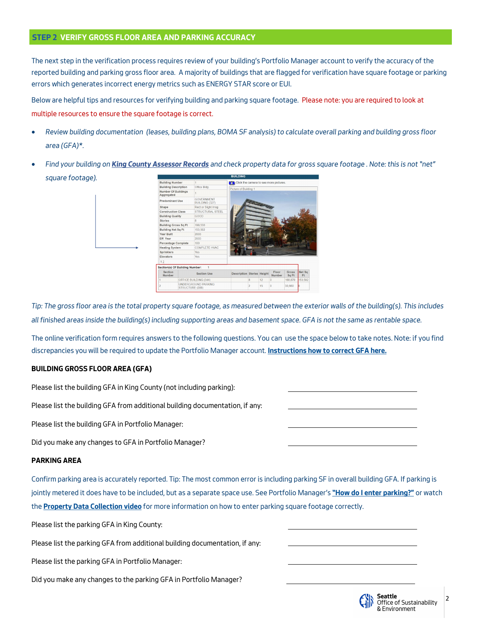# **STEP 2 VERIFY GROSS FLOOR AREA AND PARKING ACCURACY**

*The next step in the verification process requires review of your building's Portfolio Manager account to verify the accuracy of the reported building and parking gross floor area. A majority of buildings that are flagged for verification have square footage or parking errors which generates incorrect energy metrics such as ENERGY STAR score or EUI.* 

*Below are helpful tips and resources for verifying building and parking square footage. Please note: you are required to look at multiple resources to ensure the square footage is correct.* 

- *Review building documentation (leases, building plans, BOMA SF analysis) to calculate overall parking and building gross floor area (GFA)\*.*
- *Find your building on [King County Assessor Records](http://blue.kingcounty.com/Assessor/eRealProperty/default.aspx) and check property data for gross square footage . Note: this is not "net" square footage).*



*Tip: The gross floor area is the total property square footage, as measured between the exterior walls of the building(s). This includes all finished areas inside the building(s) including supporting areas and basement space. GFA is not the same as rentable space.*

*The online verification form requires answers to the following questions. You can use the space below to take notes. Note: if you find discrepancies you will be required to update the Portfolio Manager account.* **[Instructions how to correct GFA here.](https://energystar-mesa.force.com/PortfolioManager/s/article/My-building-was-re-measured-How-do-I-update-the-GFA-1600088531650)**

# **BUILDING GROSS FLOOR AREA (GFA)**

*Please list the building GFA in King County (not including parking):* 

*Please list the building GFA from additional building documentation, if any:*

*Please list the building GFA in Portfolio Manager:*

*Did you make any changes to GFA in Portfolio Manager?* 

# **PARKING AREA**

*Confirm parking area is accurately reported. Tip: The most common error is including parking SF in overall building GFA. If parking is jointly metered it does have to be included, but as a separate space use. See Portfolio Manager's* **"[How do I enter parking?](https://energystar-mesa.force.com/PortfolioManager/s/article/How-do-I-enter-parking-1600088538046)"** *or watch the* **[Property Data Collection video](https://www.youtube.com/watch?v=mf5z1ADa-nU)** *for more information on how to enter parking square footage correctly.* 

*Please list the parking GFA in King County:*

*Please list the parking GFA from additional building documentation, if any:* 

*Please list the parking GFA in Portfolio Manager:* 

*Did you make any changes to the parking GFA in Portfolio Manager?* 



2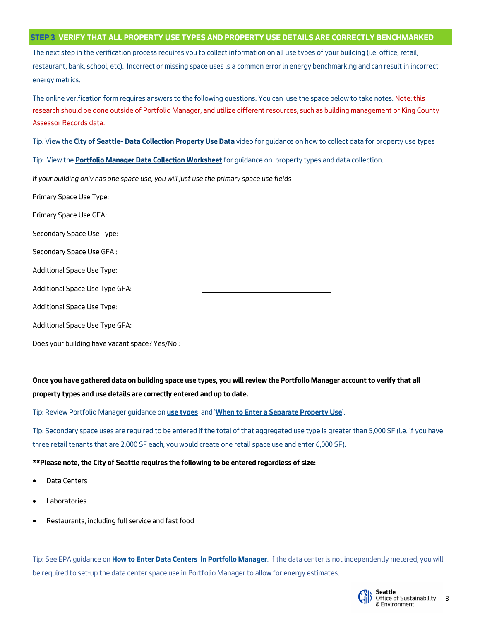## **STEP 3 VERIFY THAT ALL PROPERTY USE TYPES AND PROPERTY USE DETAILS ARE CORRECTLY BENCHMARKED**

*The next step in the verification process requires you to collect information on all use types of your building (i.e. office, retail, restaurant, bank, school, etc). Incorrect or missing space uses is a common error in energy benchmarking and can result in incorrect energy metrics.* 

*The online verification form requires answers to the following questions. You can use the space below to take notes. Note: this research should be done outside of Portfolio Manager, and utilize different resources, such as building management or King County Assessor Records data.* 

*Tip: View the* **City of Seattle– [Data Collection Property Use Data](https://www.youtube.com/watch?v=mf5z1ADa-nU)** *video for guidance on how to collect data for property use types* 

*Tip: View the* **[Portfolio Manager Data Collection Worksheet](https://www.energystar.gov/buildings/tools-and-resources/portfolio_manager_data_collection_worksheet)** *for guidance on property types and data collection.* 

*If your building only has one space use, you will just use the primary space use fields*

| Primary Space Use Type:                       |  |
|-----------------------------------------------|--|
| Primary Space Use GFA:                        |  |
| Secondary Space Use Type:                     |  |
| Secondary Space Use GFA:                      |  |
| Additional Space Use Type:                    |  |
| Additional Space Use Type GFA:                |  |
| Additional Space Use Type:                    |  |
| Additional Space Use Type GFA:                |  |
| Does your building have vacant space? Yes/No: |  |

**Once you have gathered data on building space use types, you will review the Portfolio Manager account to verify that all property types and use details are correctly entered and up to date.** 

*Tip: Review Portfolio Manager guidance on* **[use types](https://www.energystar.gov/buildings/facility-owners-and-managers/existing-buildings/use-portfolio-manager/identify-your-property-type)** *and '***[When to Enter a Separate Property Use](https://energystar-mesa.force.com/PortfolioManager/s/topic/0TOt00000008fK7GAI/property-uses)***'.* 

*Tip: Secondary space uses are required to be entered if the total of that aggregated use type is greater than 5,000 SF (i.e. if you have three retail tenants that are 2,000 SF each, you would create one retail space use and enter 6,000 SF).* 

# **\*\*Please note, the City of Seattle requires the following to be entered regardless of size:**

- *Data Centers*
- *Laboratories*
- *Restaurants, including full service and fast food*

Tip: See EPA guidance on **[How to Enter Data Centers in Portfolio Manager](https://energystar-mesa.force.com/PortfolioManager/s/topic/0TOt00000008fKBGAY/data-center)**. If the data center is not independently metered, you will *be required to set-up the data center space use in Portfolio Manager to allow for energy estimates.* 

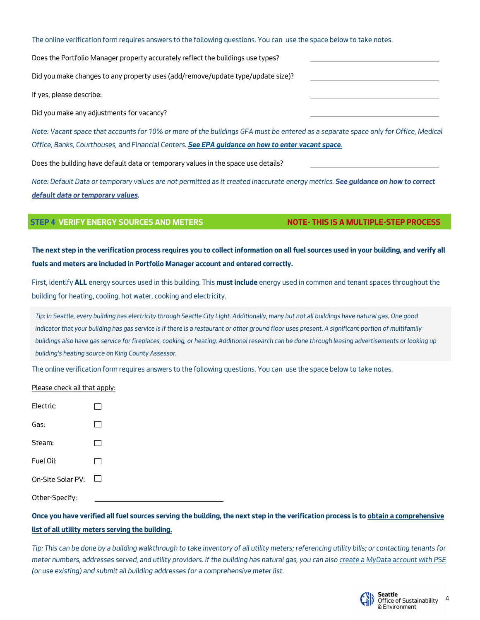*The online verification form requires answers to the following questions. You can use the space below to take notes.* 

*Does the Portfolio Manager property accurately reflect the buildings use types?* 

*Did you make changes to any property uses (add/remove/update type/update size)?* 

*If yes, please describe:* 

*Did you make any adjustments for vacancy?* 

*Note: Vacant space that accounts for 10% or more of the buildings GFA must be entered as a separate space only for Office, Medical Office, Banks, Courthouses, and Financial Centers. [See EPA guidance on how to enter vacant space](https://energystar-mesa.force.com/PortfolioManager/s/topic/0TOt00000008fK8GAI/vacancyoccupancy).*

*Does the building have default data or temporary values in the space use details?* 

*Note: Default Data or temporary values are not permitted as it created inaccurate energy metrics. [See guidance on how to correct](http://www.seattle.gov/Documents/Departments/OSE/Benchmark/Default%20Data%20Guide.pdf)  [default data or temporary values.](http://www.seattle.gov/Documents/Departments/OSE/Benchmark/Default%20Data%20Guide.pdf)* 

# **STEP 4 VERIFY ENERGY SOURCES AND METERS NOTE- THIS IS A MULTIPLE-STEP PROCESS**

**The next step in the verification process requires you to collect information on all fuel sources used in your building, and verify all fuels and meters are included in Portfolio Manager account and entered correctly.** 

*First, identify* **ALL** *energy sources used in this building. This* **must include** *energy used in common and tenant spaces throughout the building for heating, cooling, hot water, cooking and electricity.* 

*Tip: In Seattle, every building has electricity through Seattle City Light. Additionally, many but not all buildings have natural gas. One good indicator that your building has gas service is if there is a restaurant or other ground floor uses present. A significant portion of multifamily*  buildings also have gas service for fireplaces, cooking, or heating. Additional research can be done through leasing advertisements or looking up *building's heating source on King County Assessor.* 

*The online verification form requires answers to the following questions. You can use the space below to take notes.* 

*Please check all that apply:* 

| Electric:         |              |
|-------------------|--------------|
| Gas:              |              |
| Steam:            |              |
| Fuel Oil:         |              |
| On-Site Solar PV: | $\mathbf{I}$ |
| Other-Specify:    |              |

**Once you have verified all fuel sources serving the building, the next step in the verification process is to obtain a comprehensive list of all utility meters serving the building.** 

*Tip: This can be done by a building walkthrough to take inventory of all utility meters; referencing utility bills; or contacting tenants for meter numbers, addresses served, and utility providers. If the building has natural gas, you can also [create a MyData account with PSE](https://mydata.pse.com/) (or use existing) and submit all building addresses for a comprehensive meter list.* 

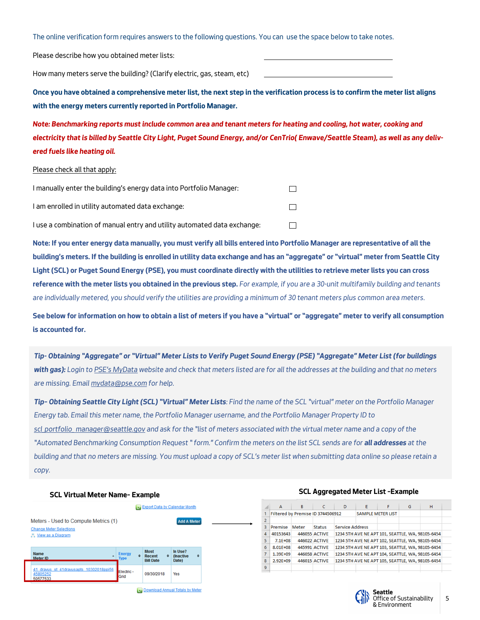*The online verification form requires answers to the following questions. You can use the space below to take notes.* 

*Please describe how you obtained meter lists:* 

*How many meters serve the building? (Clarify electric, gas, steam, etc)*

**Once you have obtained a comprehensive meter list, the next step in the verification process is to confirm the meter list aligns with the energy meters currently reported in Portfolio Manager.** 

*Note: Benchmarking reports must include common area and tenant meters for heating and cooling, hot water, cooking and electricity that is billed by Seattle City Light, Puget Sound Energy, and/or CenTrio( Enwave/Seattle Steam), as well as any delivered fuels like heating oil.* 

### *Please check all that apply:*

| I manually enter the building's energy data into Portfolio Manager:      |  |
|--------------------------------------------------------------------------|--|
| I am enrolled in utility automated data exchange:                        |  |
| I use a combination of manual entry and utility automated data exchange: |  |

**Note: If you enter energy data manually, you must verify all bills entered into Portfolio Manager are representative of all the building's meters. If the building is enrolled in utility data exchange and has an "aggregate" or "virtual" meter from Seattle City Light (SCL) or Puget Sound Energy (PSE), you must coordinate directly with the utilities to retrieve meter lists you can cross reference with the meter lists you obtained in the previous step.** *For example, if you are a 30-unit multifamily building and tenants are individually metered, you should verify the utilities are providing a minimum of 30 tenant meters plus common area meters.* 

**See below for information on how to obtain a list of meters if you have a "virtual" or "aggregate" meter to verify all consumption is accounted for.**

Tip-Obtaining "Aggregate" or "Virtual" Meter Lists to Verify Puget Sound Energy (PSE) "Aggregate" Meter List (for buildings *with gas): Login to PSE'[s MyData](https://mydata.pse.com/) website and check that meters listed are for all the addresses at the building and that no meters are missing. Email [mydata@pse.com](mailto:mydata@pse.com) for help.*

*Tip– Obtaining Seattle City Light (SCL) "Virtual" Meter Lists: Find the name of the SCL "virtual" meter on the Portfolio Manager Energy tab. Email this meter name, the Portfolio Manager username, and the Portfolio Manager Property ID to [scl\\_portfolio\\_ manager@seattle.gov](mailto:scl_portfolio_%20manager@seattle.gov) and ask for the "list of meters associated with the virtual meter name and a copy of the "Automated Benchmarking Consumption Request " form." Confirm the meters on the list SCL sends are for all addresses at the building and that no meters are missing. You must upload a copy of SCL's meter list when submitting data online so please retain a copy.* 

# **SCL Virtual Meter Name– Example**Export Data by Calendar Month



### **SCL Aggregated Meter List –Example**

| ⊿                     | A                                 | В            | c                    | D                        | Е                                                | F | G | н |  |
|-----------------------|-----------------------------------|--------------|----------------------|--------------------------|--------------------------------------------------|---|---|---|--|
|                       | Filtered by Premise ID 3744506912 |              |                      | <b>SAMPLE METER LIST</b> |                                                  |   |   |   |  |
| $\overline{2}$        |                                   |              |                      |                          |                                                  |   |   |   |  |
| 3                     | Premise                           | <b>Meter</b> | <b>Status</b>        | <b>Service Address</b>   |                                                  |   |   |   |  |
| $\boldsymbol{\Delta}$ | 40153643                          |              | 446055 ACTIVE        |                          | 1234 5TH AVE NE APT 101, SEATTLE, WA, 98105-6454 |   |   |   |  |
| 5                     | $7.1E + 08$                       |              | <b>446022 ACTIVE</b> |                          | 1234 5TH AVE NE APT 102, SEATTLE, WA, 98105-6454 |   |   |   |  |
| 6                     | 8.01E+08                          |              | <b>445991 ACTIVE</b> |                          | 1234 5TH AVE NE APT 103, SEATTLE, WA, 98105-6454 |   |   |   |  |
| 7                     | 1.39E+09                          |              | <b>446058 ACTIVE</b> |                          | 1234 5TH AVE NE APT 104, SEATTLE, WA, 98105-6454 |   |   |   |  |
| 8                     | 2.92E+09                          |              | <b>446015 ACTIVE</b> |                          | 1234 5TH AVE NE APT 105, SEATTLE, WA, 98105-6454 |   |   |   |  |
| 9                     |                                   |              |                      |                          |                                                  |   |   |   |  |



5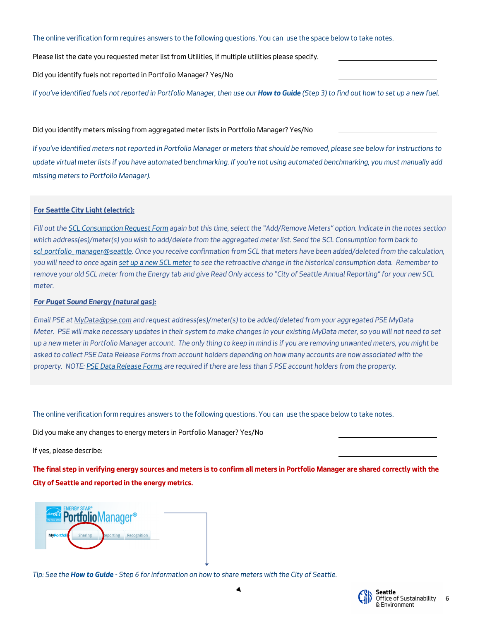*The online verification form requires answers to the following questions. You can use the space below to take notes.* 

*Please list the date you requested meter list from Utilities, if multiple utilities please specify.* 

*Did you identify fuels not reported in Portfolio Manager? Yes/No* 

*If you've identified fuels not reported in Portfolio Manager, then use our [How to Guide](http://www.seattle.gov/Documents/Departments/OSE/Benchmark/EBR%20How%20to%20Guide%202019.pdf) (Step 3) to find out how to set up a new fuel.* 

*Did you identify meters missing from aggregated meter lists in Portfolio Manager? Yes/No* 

*If you've identified meters not reported in Portfolio Manager or meters that should be removed, please see below for instructions to update virtual meter lists if you have automated benchmarking. If you're not using automated benchmarking, you must manually add missing meters to Portfolio Manager).* 

# **For Seattle City Light (electric):**

*Fill out the [SCL Consumption Request Form](http://www.seattle.gov/light/accounts/energyusage/) again but this time, select the "Add/Remove Meters" option. Indicate in the notes section which address(es)/meter(s) you wish to add/delete from the aggregated meter list. Send the SCL Consumption form back to [scl\\_portfolio\\_ manager@seattle.](mailto:http://www.seattle.gov/light/accounts/energyusage/) Once you receive confirmation from SCL that meters have been added/deleted from the calculation, you will need to once again [set up a new SCL meter](http://www.seattle.gov/Documents/Departments/OSE/Benchmark/EBR%20How%20to%20Guide%202019.pdf) to see the retroactive change in the historical consumption data. Remember to remove your old SCL meter from the Energy tab and give Read Only access to "City of Seattle Annual Reporting" for your new SCL meter.* 

# *For Puget Sound Energy (natural gas):*

*Email PSE at [MyData@pse.com](mailto:MyData@pse.com) and request address(es)/meter(s) to be added/deleted from your aggregated PSE MyData Meter. PSE will make necessary updates in their system to make changes in your existing MyData meter, so you will not need to set up a new meter in Portfolio Manager account. The only thing to keep in mind is if you are removing unwanted meters, you might be asked to collect PSE Data Release Forms from account holders depending on how many accounts are now associated with the property. NOTE: [PSE Data Release Forms](http://www.seattle.gov/Documents/Departments/Environment/ClimateChange/2014PSECustomerDataReleaseForm.pdf) are required if there are less than 5 PSE account holders from the property.*

*The online verification form requires answers to the following questions. You can use the space below to take notes.* 

*Did you make any changes to energy meters in Portfolio Manager? Yes/No* 

*If yes, please describe:* 

**The final step in verifying energy sources and meters is to confirm all meters in Portfolio Manager are shared correctly with the City of Seattle and reported in the energy metrics.** 



*Tip: See the [How to Guide](http://www.seattle.gov/Documents/Departments/OSE/Benchmark/EBR%20How%20to%20Guide%202019.pdf) - Step 6 for information on how to share meters with the City of Seattle.*